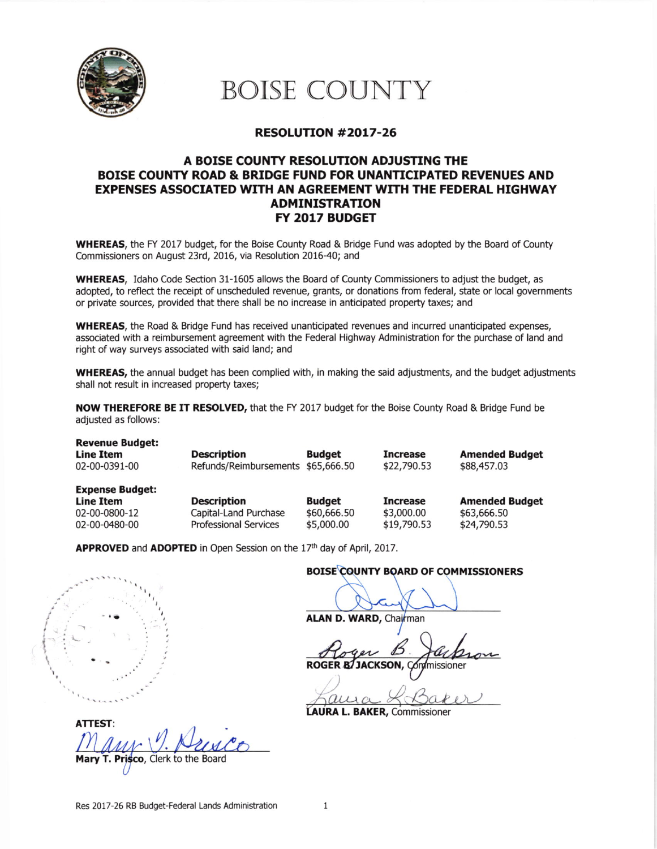

# BOISE COUNTY

#### RESOLUTTON #2017-26

#### A BOISE COUNTY RESOLUTION ADJUSTING THE BOISE COUNTY ROAD & BRIDGE FUND FOR UNANTICIPATED REVENUES AND EXPENSES ASSOCIATED WITH AN AGREEMENT WITH THE FEDERAL HIGHWAY ADMINISTRATION FY 2OL7 BUDGET

WHEREAS, the FY 2017 budget, for the Boise County Road & Bridge Fund was adopted by the Board of County Commissioners on August 23rd, 2016, via Resolution 2016-40; and

WHEREAS, Idaho Code Section 31-1605 allows the Board of County Commissioners to adjust the budget, as adopted, to reflect the receipt of unscheduled revenue, grants, or donations from federal, state or local governments or private sources, provided that there shall be no increase in anticipated property taxes; and

WHEREAS, the Road & Bridge Fund has received unanticipated revenues and incurred unanticipated expenses, associated with a reimbursement agreement with the Federal Highway Administration for the purchase of land and right of way surveys associated with said land; and

WHEREAS, the annual budget has been complied with, in making the said adjustments, and the budget adjustments shall not result in increased property taxes;

NOW THEREFORE BE IT RESOLVED, that the FY 2017 budget for the Boise County Road & Bridge Fund be adjusted as follows:

| <b>Revenue Budget:</b><br><b>Line Item</b><br>02-00-0391-00                  | <b>Description</b><br>Refunds/Reimbursements                                | <b>Budget</b><br>\$65,666.50               | <b>Increase</b><br>\$22,790.53               | <b>Amended Budget</b><br>\$88,457.03                |
|------------------------------------------------------------------------------|-----------------------------------------------------------------------------|--------------------------------------------|----------------------------------------------|-----------------------------------------------------|
| <b>Expense Budget:</b><br><b>Line Item</b><br>02-00-0800-12<br>02-00-0480-00 | <b>Description</b><br>Capital-Land Purchase<br><b>Professional Services</b> | <b>Budget</b><br>\$60,666.50<br>\$5,000.00 | <b>Increase</b><br>\$3,000.00<br>\$19,790.53 | <b>Amended Budget</b><br>\$63,666.50<br>\$24,790.53 |

APPROVED and ADOPTED in Open Session on the 17th day of April, 2017.

#### BOISE COUNTY BOARD OF COMMISSIONERS

ALAN D. WARD, Chaj*ł*man

Roger B ROGER B/JACKSON, Condmissioner **Comment** 

LAURA L. BAKER, Commissioner

ATTEST: to the Board

ingently.  $\check{f}$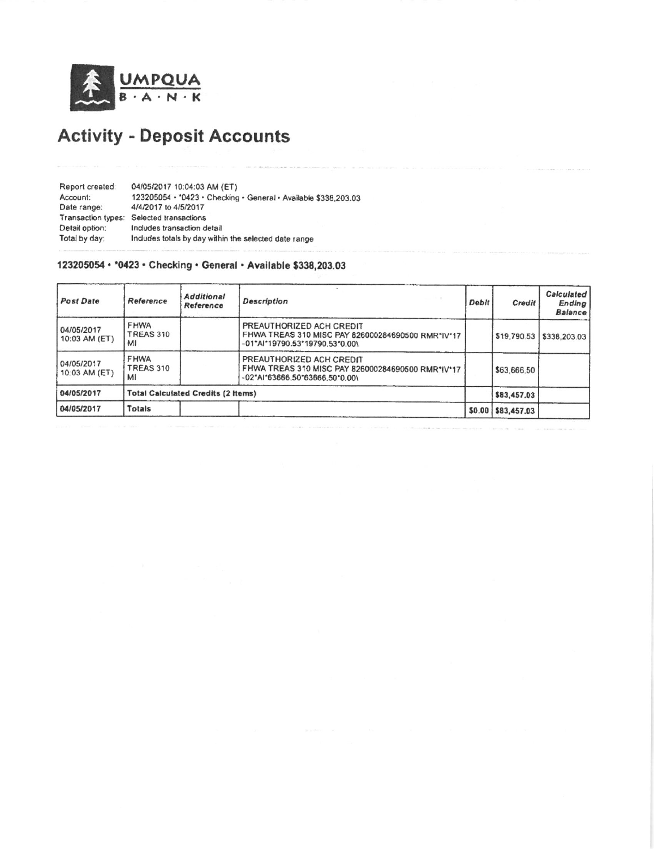

## **Activity - Deposit Accounts**

| Report created:    | 04/05/2017 10:04:03 AM (ET)                                     |
|--------------------|-----------------------------------------------------------------|
| Account:           | 123205054 · '0423 · Checking · General · Available \$338,203.03 |
| Date range:        | 4/4/2017 to 4/5/2017                                            |
| Transaction types: | Selected transactions                                           |
| Detail option:     | Indudes transaction detail                                      |
| Total by day:      | Includes totals by day within the selected date range           |

#### 123205054 · \* 0423 · Checking · General · Available \$338,203.03

| <b>Post Date</b>            | Reference                      | <b>Additional</b><br>Reference            | <b>Description</b>                                                                                                  | Debit | Credit             | <b>Calculated</b><br>Ending<br><b>Balance</b> |
|-----------------------------|--------------------------------|-------------------------------------------|---------------------------------------------------------------------------------------------------------------------|-------|--------------------|-----------------------------------------------|
| 04/05/2017<br>10:03 AM (ET) | <b>FHWA</b><br>TREAS 310<br>MI |                                           | PREAUTHORIZED ACH CREDIT<br>FHWA TREAS 310 MISC PAY 826000284690500 RMR*IV*17<br>-01"Al"19790.53"19790.53"0.00\     |       |                    | \$19,790.53 \$338,203.03                      |
| 04/05/2017<br>10:03 AM (ET) | FHWA<br>TREAS 310<br>M         |                                           | PREAUTHORIZED ACH CREDIT<br>FHWA TREAS 310 MISC PAY 826000284690500 RMR*IV*17<br>$-02^*$ AI*63666.50*63666.50*0.00\ |       | \$63,666.50        |                                               |
| 04/05/2017                  |                                | <b>Total Calculated Credits (2 Items)</b> |                                                                                                                     |       | \$83,457.03        |                                               |
| 04/05/2017                  | Totals                         |                                           |                                                                                                                     |       | \$0.00 \$83,457.03 |                                               |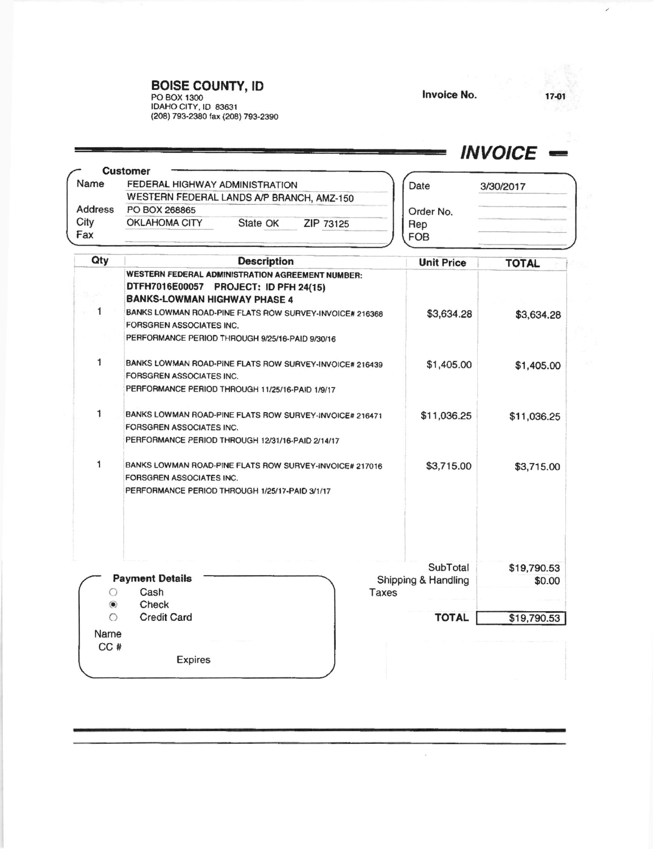### **BOISE COUNTY, ID**

**Lating and product in the control** 

PO BOX 1300<br>IDAHO CITY, ID 83631<br>(208) 793-2380 fax (208) 793-2390

 $\tau$ 

#### 17-01

 $\overline{\phantom{a}}$ 

### $INVOICE$   $=$

| Name    | FEDERAL HIGHWAY ADMINISTRATION                             |          | Date      | 3/30/2017  |  |
|---------|------------------------------------------------------------|----------|-----------|------------|--|
|         | WESTERN FEDERAL LANDS A/P BRANCH, AMZ-150<br>PO BOX 268865 |          |           |            |  |
| Address |                                                            |          |           | Order No.  |  |
| City    | <b>OKLAHOMA CITY</b>                                       | State OK | ZIP 73125 | Rep        |  |
| Fax     |                                                            |          |           | <b>FOB</b> |  |

| Qty           | <b>Description</b>                                      | <b>Unit Price</b>   | <b>TOTAL</b> |
|---------------|---------------------------------------------------------|---------------------|--------------|
|               | WESTERN FEDERAL ADMINISTRATION AGREEMENT NUMBER:        |                     |              |
|               | DTFH7016E00057 PROJECT: ID PFH 24(15)                   |                     |              |
|               | <b>BANKS-LOWMAN HIGHWAY PHASE 4</b>                     |                     |              |
| 1             | BANKS LOWMAN ROAD-PINE FLATS ROW SURVEY-INVOICE# 216368 | \$3,634.28          | \$3,634.28   |
|               | FORSGREN ASSOCIATES INC.                                |                     |              |
|               | PERFORMANCE PERIOD THROUGH 9/25/16-PAID 9/30/16         |                     |              |
| 1             | BANKS LOWMAN ROAD-PINE FLATS ROW SURVEY-INVOICE# 216439 | \$1,405.00          | \$1,405.00   |
|               | FORSGREN ASSOCIATES INC.                                |                     |              |
|               | PERFORMANCE PERIOD THROUGH 11/25/16-PAID 1/9/17         |                     |              |
| 1             | BANKS LOWMAN ROAD-PINE FLATS ROW SURVEY-INVOICE# 216471 | \$11,036.25         | \$11,036.25  |
|               | FORSGREN ASSOCIATES INC.                                |                     |              |
|               | PERFORMANCE PERIOD THROUGH 12/31/16-PAID 2/14/17        |                     |              |
| 1             | BANKS LOWMAN ROAD-PINE FLATS ROW SURVEY-INVOICE# 217016 | \$3,715.00          | \$3,715.00   |
|               | FORSGREN ASSOCIATES INC.                                |                     |              |
|               | PERFORMANCE PERIOD THROUGH 1/25/17-PAID 3/1/17          |                     |              |
|               |                                                         | SubTotal            | \$19,790.53  |
|               | <b>Payment Details</b>                                  | Shipping & Handling | \$0.00       |
|               | Cash                                                    | <b>Taxes</b>        |              |
| $\circledast$ | Check                                                   |                     |              |
| ∩             | <b>Credit Card</b>                                      | <b>TOTAL</b>        | \$19,790.53  |
| Name          |                                                         |                     |              |
| CC#           |                                                         |                     |              |
|               | <b>Expires</b>                                          |                     |              |
|               |                                                         |                     |              |